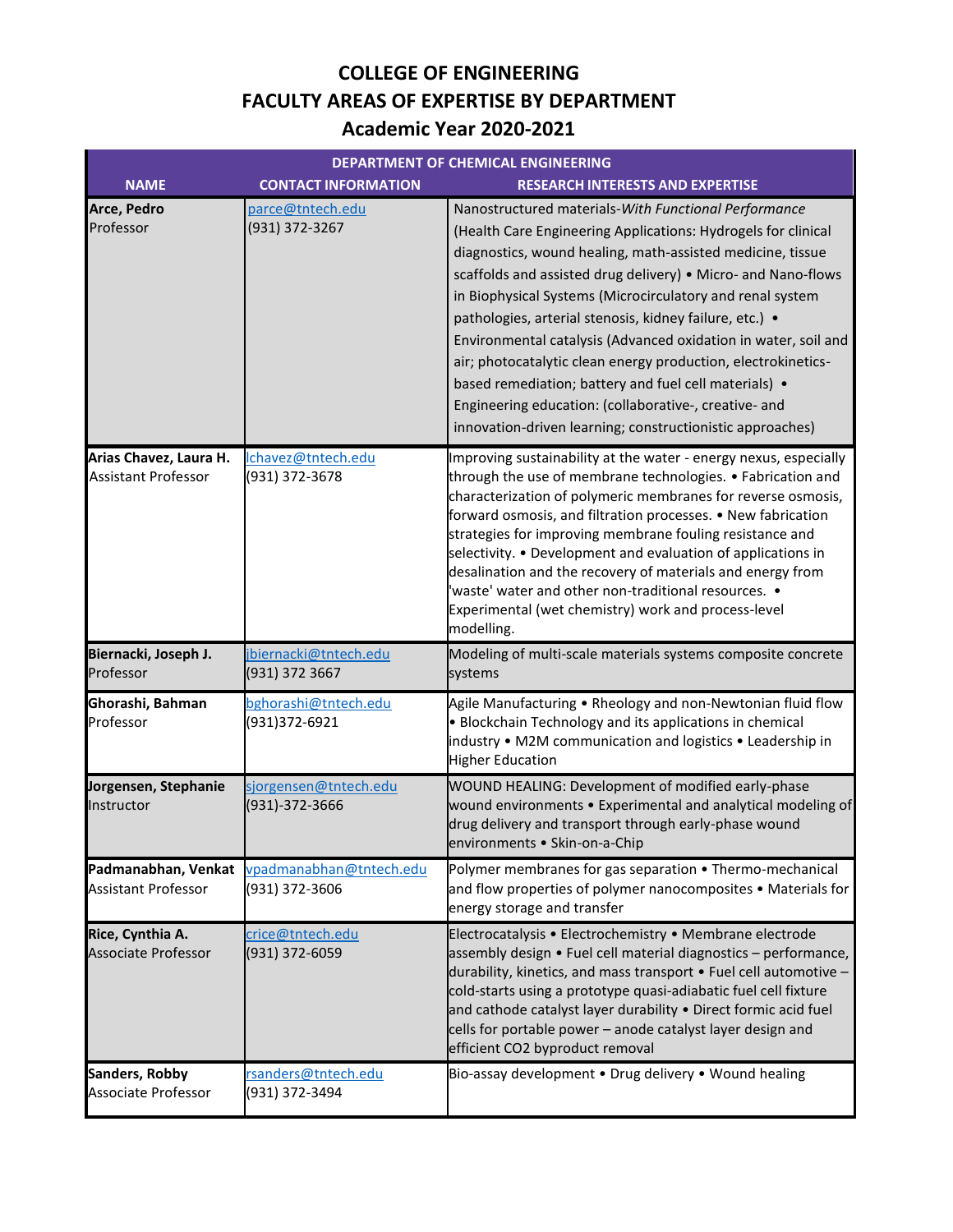## **COLLEGE OF ENGINEERING FACULTY AREAS OF EXPERTISE BY DEPARTMENT Academic Year 2020-2021**

| <b>DEPARTMENT OF CHEMICAL ENGINEERING</b>            |                                           |                                                                                                                                                                                                                                                                                                                                                                                                                                                                                                                                                                                                                                                                                                |
|------------------------------------------------------|-------------------------------------------|------------------------------------------------------------------------------------------------------------------------------------------------------------------------------------------------------------------------------------------------------------------------------------------------------------------------------------------------------------------------------------------------------------------------------------------------------------------------------------------------------------------------------------------------------------------------------------------------------------------------------------------------------------------------------------------------|
| <b>NAME</b>                                          | <b>CONTACT INFORMATION</b>                | <b>RESEARCH INTERESTS AND EXPERTISE</b>                                                                                                                                                                                                                                                                                                                                                                                                                                                                                                                                                                                                                                                        |
| Arce, Pedro<br>Professor                             | parce@tntech.edu<br>(931) 372-3267        | Nanostructured materials-With Functional Performance<br>(Health Care Engineering Applications: Hydrogels for clinical<br>diagnostics, wound healing, math-assisted medicine, tissue<br>scaffolds and assisted drug delivery) . Micro- and Nano-flows<br>in Biophysical Systems (Microcirculatory and renal system<br>pathologies, arterial stenosis, kidney failure, etc.) •<br>Environmental catalysis (Advanced oxidation in water, soil and<br>air; photocatalytic clean energy production, electrokinetics-<br>based remediation; battery and fuel cell materials) •<br>Engineering education: (collaborative-, creative- and<br>innovation-driven learning; constructionistic approaches) |
| Arias Chavez, Laura H.<br><b>Assistant Professor</b> | Ichavez@tntech.edu<br>(931) 372-3678      | Improving sustainability at the water - energy nexus, especially<br>through the use of membrane technologies. • Fabrication and<br>characterization of polymeric membranes for reverse osmosis,<br>forward osmosis, and filtration processes. • New fabrication<br>strategies for improving membrane fouling resistance and<br>selectivity. • Development and evaluation of applications in<br>desalination and the recovery of materials and energy from<br>'waste' water and other non-traditional resources. .<br>Experimental (wet chemistry) work and process-level<br>modelling.                                                                                                         |
| Biernacki, Joseph J.<br>Professor                    | jbiernacki@tntech.edu<br>(931) 372 3667   | Modeling of multi-scale materials systems composite concrete<br>systems                                                                                                                                                                                                                                                                                                                                                                                                                                                                                                                                                                                                                        |
| Ghorashi, Bahman<br>Professor                        | bghorashi@tntech.edu<br>(931)372-6921     | Agile Manufacturing • Rheology and non-Newtonian fluid flow<br>• Blockchain Technology and its applications in chemical<br>industry • M2M communication and logistics • Leadership in<br><b>Higher Education</b>                                                                                                                                                                                                                                                                                                                                                                                                                                                                               |
| Jorgensen, Stephanie<br>Instructor                   | sjorgensen@tntech.edu<br>(931)-372-3666   | WOUND HEALING: Development of modified early-phase<br>wound environments . Experimental and analytical modeling of<br>drug delivery and transport through early-phase wound<br>environments · Skin-on-a-Chip                                                                                                                                                                                                                                                                                                                                                                                                                                                                                   |
| Padmanabhan, Venkat<br><b>Assistant Professor</b>    | vpadmanabhan@tntech.edu<br>(931) 372-3606 | Polymer membranes for gas separation • Thermo-mechanical<br>and flow properties of polymer nanocomposites • Materials for<br>energy storage and transfer                                                                                                                                                                                                                                                                                                                                                                                                                                                                                                                                       |
| Rice, Cynthia A.<br><b>Associate Professor</b>       | crice@tntech.edu<br>(931) 372-6059        | Electrocatalysis • Electrochemistry • Membrane electrode<br>assembly design • Fuel cell material diagnostics - performance,<br>durability, kinetics, and mass transport $\bullet$ Fuel cell automotive -<br>cold-starts using a prototype quasi-adiabatic fuel cell fixture<br>and cathode catalyst layer durability . Direct formic acid fuel<br>cells for portable power - anode catalyst layer design and<br>efficient CO2 byproduct removal                                                                                                                                                                                                                                                |
| <b>Sanders, Robby</b><br>Associate Professor         | rsanders@tntech.edu<br>(931) 372-3494     | Bio-assay development . Drug delivery . Wound healing                                                                                                                                                                                                                                                                                                                                                                                                                                                                                                                                                                                                                                          |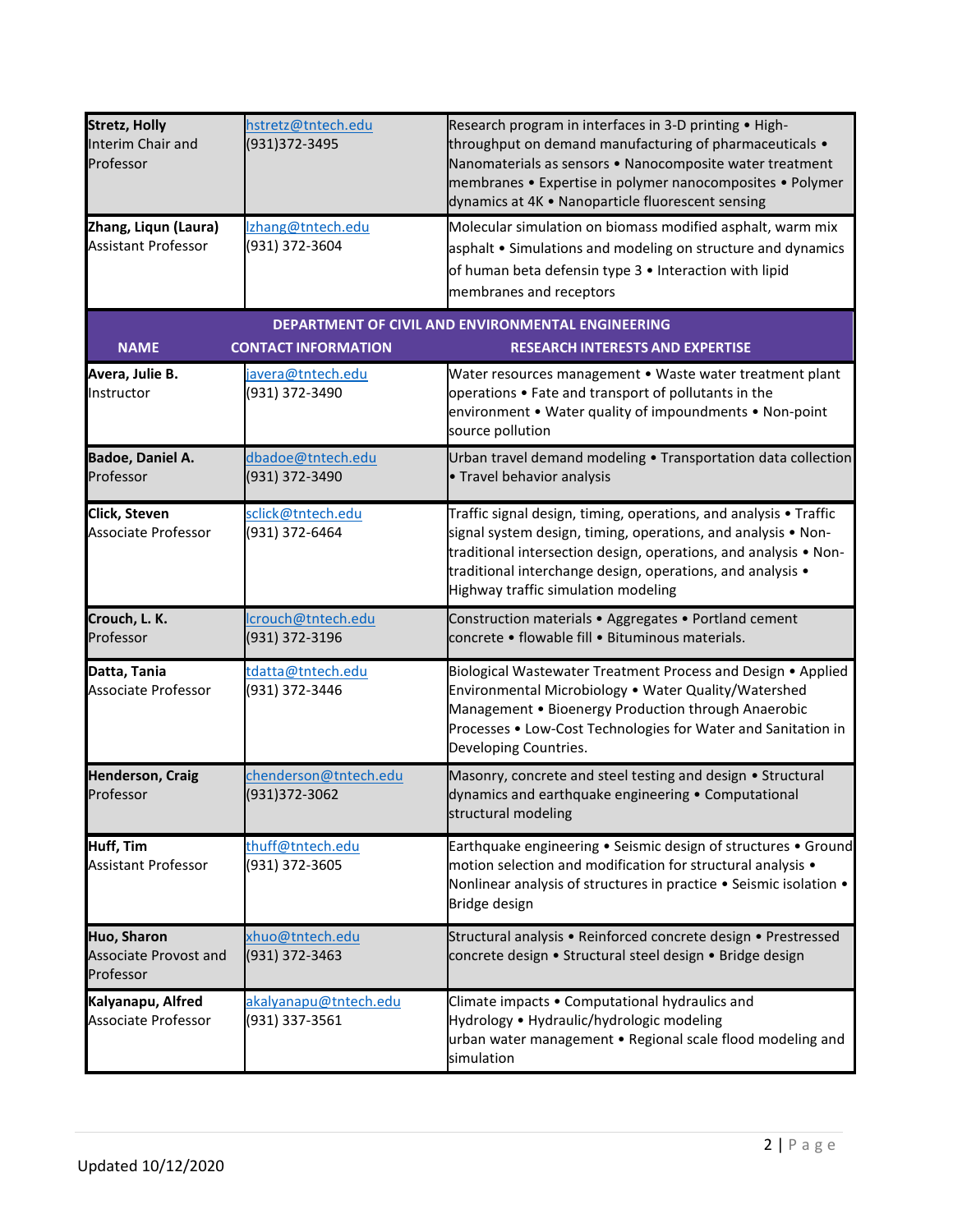| <b>Stretz, Holly</b><br>Interim Chair and<br>Professor<br>Zhang, Liqun (Laura)<br><b>Assistant Professor</b> | hstretz@tntech.edu<br>(931)372-3495<br>Izhang@tntech.edu<br>(931) 372-3604 | Research program in interfaces in 3-D printing . High-<br>throughput on demand manufacturing of pharmaceuticals .<br>Nanomaterials as sensors . Nanocomposite water treatment<br>membranes • Expertise in polymer nanocomposites • Polymer<br>dynamics at 4K · Nanoparticle fluorescent sensing<br>Molecular simulation on biomass modified asphalt, warm mix<br>asphalt • Simulations and modeling on structure and dynamics<br>of human beta defensin type 3 . Interaction with lipid |
|--------------------------------------------------------------------------------------------------------------|----------------------------------------------------------------------------|-----------------------------------------------------------------------------------------------------------------------------------------------------------------------------------------------------------------------------------------------------------------------------------------------------------------------------------------------------------------------------------------------------------------------------------------------------------------------------------------|
| <b>NAME</b>                                                                                                  | <b>CONTACT INFORMATION</b>                                                 | membranes and receptors<br>DEPARTMENT OF CIVIL AND ENVIRONMENTAL ENGINEERING<br><b>RESEARCH INTERESTS AND EXPERTISE</b>                                                                                                                                                                                                                                                                                                                                                                 |
| Avera, Julie B.<br>Instructor                                                                                | javera@tntech.edu<br>(931) 372-3490                                        | Water resources management • Waste water treatment plant<br>operations • Fate and transport of pollutants in the<br>environment . Water quality of impoundments . Non-point<br>source pollution                                                                                                                                                                                                                                                                                         |
| <b>Badoe, Daniel A.</b><br>Professor                                                                         | dbadoe@tntech.edu<br>(931) 372-3490                                        | Urban travel demand modeling • Transportation data collection<br>• Travel behavior analysis                                                                                                                                                                                                                                                                                                                                                                                             |
| Click, Steven<br><b>Associate Professor</b>                                                                  | sclick@tntech.edu<br>(931) 372-6464                                        | Traffic signal design, timing, operations, and analysis • Traffic<br>signal system design, timing, operations, and analysis • Non-<br>traditional intersection design, operations, and analysis • Non-<br>traditional interchange design, operations, and analysis •<br>Highway traffic simulation modeling                                                                                                                                                                             |
| Crouch, L. K.<br>Professor                                                                                   | lcrouch@tntech.edu<br>(931) 372-3196                                       | Construction materials . Aggregates . Portland cement<br>concrete · flowable fill · Bituminous materials.                                                                                                                                                                                                                                                                                                                                                                               |
| Datta, Tania<br><b>Associate Professor</b>                                                                   | tdatta@tntech.edu<br>(931) 372-3446                                        | Biological Wastewater Treatment Process and Design • Applied<br>Environmental Microbiology . Water Quality/Watershed<br>Management . Bioenergy Production through Anaerobic<br>Processes . Low-Cost Technologies for Water and Sanitation in<br>Developing Countries.                                                                                                                                                                                                                   |
| <b>Henderson, Craig</b><br>Professor                                                                         | chenderson@tntech.edu<br>(931)372-3062                                     | Masonry, concrete and steel testing and design . Structural<br>dynamics and earthquake engineering . Computational<br>structural modeling                                                                                                                                                                                                                                                                                                                                               |
| Huff, Tim<br><b>Assistant Professor</b>                                                                      | thuff@tntech.edu<br>(931) 372-3605                                         | Earthquake engineering . Seismic design of structures . Ground<br>motion selection and modification for structural analysis •<br>Nonlinear analysis of structures in practice . Seismic isolation .<br>Bridge design                                                                                                                                                                                                                                                                    |
| Huo, Sharon<br><b>Associate Provost and</b><br>Professor                                                     | xhuo@tntech.edu<br>(931) 372-3463                                          | Structural analysis • Reinforced concrete design • Prestressed<br>concrete design · Structural steel design · Bridge design                                                                                                                                                                                                                                                                                                                                                             |
| Kalyanapu, Alfred<br>Associate Professor                                                                     | akalyanapu@tntech.edu<br>(931) 337-3561                                    | Climate impacts . Computational hydraulics and<br>Hydrology • Hydraulic/hydrologic modeling<br>urban water management . Regional scale flood modeling and<br>simulation                                                                                                                                                                                                                                                                                                                 |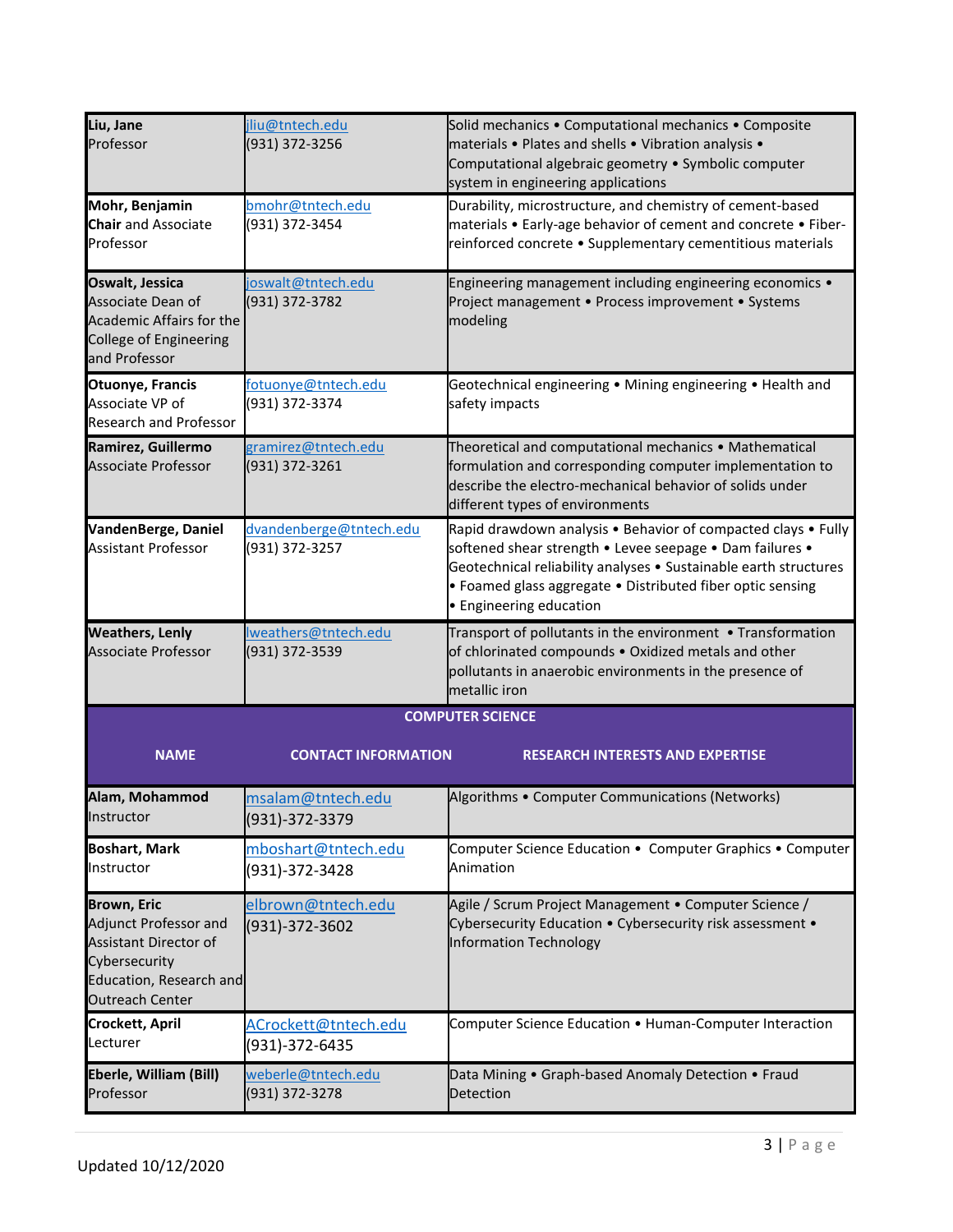| Liu, Jane<br>Professor                                                                                                                            | jliu@tntech.edu<br>(931) 372-3256             | Solid mechanics . Computational mechanics . Composite<br>materials . Plates and shells . Vibration analysis .<br>Computational algebraic geometry • Symbolic computer<br>system in engineering applications                                                                            |
|---------------------------------------------------------------------------------------------------------------------------------------------------|-----------------------------------------------|----------------------------------------------------------------------------------------------------------------------------------------------------------------------------------------------------------------------------------------------------------------------------------------|
| Mohr, Benjamin<br><b>Chair</b> and Associate<br>Professor                                                                                         | bmohr@tntech.edu<br>(931) 372-3454            | Durability, microstructure, and chemistry of cement-based<br>materials • Early-age behavior of cement and concrete • Fiber-<br>reinforced concrete • Supplementary cementitious materials                                                                                              |
| Oswalt, Jessica<br>Associate Dean of<br><b>Academic Affairs for the</b><br>College of Engineering<br>and Professor                                | joswalt@tntech.edu<br>(931) 372-3782          | Engineering management including engineering economics .<br>Project management · Process improvement · Systems<br>modeling                                                                                                                                                             |
| <b>Otuonye, Francis</b><br>Associate VP of<br><b>Research and Professor</b>                                                                       | <u>fotuonye@tntech.edu</u><br>(931) 372-3374  | Geotechnical engineering . Mining engineering . Health and<br>safety impacts                                                                                                                                                                                                           |
| Ramirez, Guillermo<br><b>Associate Professor</b>                                                                                                  | gramirez@tntech.edu<br>(931) 372-3261         | Theoretical and computational mechanics • Mathematical<br>formulation and corresponding computer implementation to<br>describe the electro-mechanical behavior of solids under<br>different types of environments                                                                      |
| VandenBerge, Daniel<br><b>Assistant Professor</b>                                                                                                 | dvandenberge@tntech.edu<br>(931) 372-3257     | Rapid drawdown analysis . Behavior of compacted clays . Fully<br>softened shear strength . Levee seepage . Dam failures .<br>Geotechnical reliability analyses . Sustainable earth structures<br>• Foamed glass aggregate • Distributed fiber optic sensing<br>• Engineering education |
| <b>Weathers, Lenly</b><br><b>Associate Professor</b>                                                                                              | <u>lweathers@tntech.edu</u><br>(931) 372-3539 | Transport of pollutants in the environment • Transformation<br>of chlorinated compounds . Oxidized metals and other<br>pollutants in anaerobic environments in the presence of<br>metallic iron                                                                                        |
|                                                                                                                                                   |                                               | <b>COMPUTER SCIENCE</b>                                                                                                                                                                                                                                                                |
| <b>NAME</b>                                                                                                                                       | <b>CONTACT INFORMATION</b>                    | <b>RESEARCH INTERESTS AND EXPERTISE</b>                                                                                                                                                                                                                                                |
| Alam, Mohammod<br>Instructor                                                                                                                      | msalam@tntech.edu<br>(931)-372-3379           | Algorithms . Computer Communications (Networks)                                                                                                                                                                                                                                        |
| <b>Boshart, Mark</b><br>Instructor                                                                                                                | mboshart@tntech.edu<br>(931)-372-3428         | Computer Science Education . Computer Graphics . Computer<br>Animation                                                                                                                                                                                                                 |
| <b>Brown, Eric</b><br>Adjunct Professor and<br><b>Assistant Director of</b><br>Cybersecurity<br>Education, Research and<br><b>Outreach Center</b> | elbrown@tntech.edu<br>(931)-372-3602          | Agile / Scrum Project Management • Computer Science /<br>Cybersecurity Education . Cybersecurity risk assessment .<br>Information Technology                                                                                                                                           |
| <b>Crockett, April</b><br>Lecturer                                                                                                                | ACrockett@tntech.edu<br>(931)-372-6435        | Computer Science Education • Human-Computer Interaction                                                                                                                                                                                                                                |
| Eberle, William (Bill)<br>Professor                                                                                                               | weberle@tntech.edu<br>(931) 372-3278          | Data Mining • Graph-based Anomaly Detection • Fraud<br>Detection                                                                                                                                                                                                                       |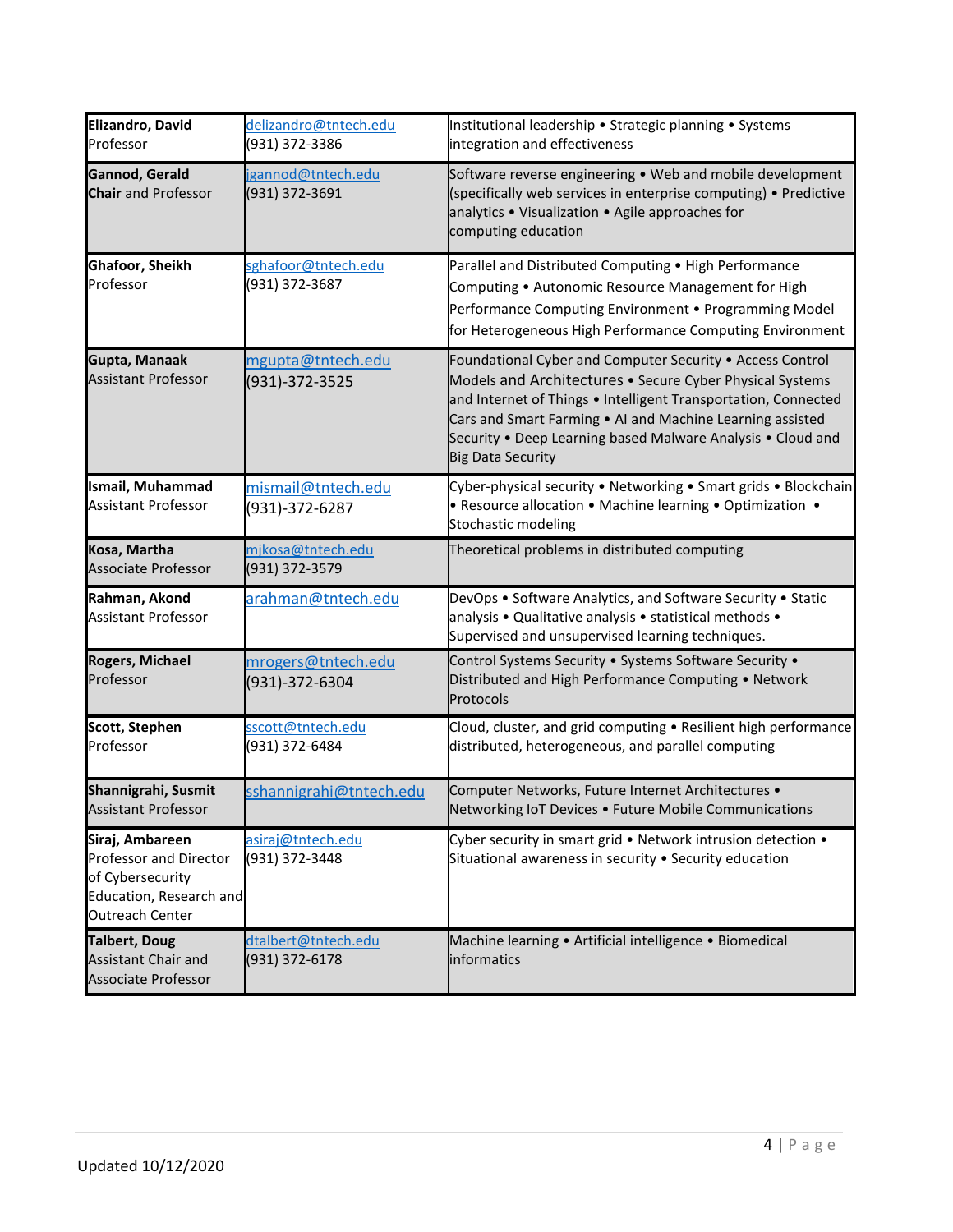| Elizandro, David<br>Professor                                                                                      | delizandro@tntech.edu<br>(931) 372-3386 | Institutional leadership • Strategic planning • Systems<br>integration and effectiveness                                                                                                                                                                                                                                                        |
|--------------------------------------------------------------------------------------------------------------------|-----------------------------------------|-------------------------------------------------------------------------------------------------------------------------------------------------------------------------------------------------------------------------------------------------------------------------------------------------------------------------------------------------|
| Gannod, Gerald<br><b>Chair</b> and Professor                                                                       | igannod@tntech.edu<br>(931) 372-3691    | Software reverse engineering • Web and mobile development<br>(specifically web services in enterprise computing) • Predictive<br>analytics . Visualization . Agile approaches for<br>computing education                                                                                                                                        |
| Ghafoor, Sheikh<br>Professor                                                                                       | sghafoor@tntech.edu<br>(931) 372-3687   | Parallel and Distributed Computing . High Performance<br>Computing . Autonomic Resource Management for High<br>Performance Computing Environment . Programming Model<br>for Heterogeneous High Performance Computing Environment                                                                                                                |
| Gupta, Manaak<br><b>Assistant Professor</b>                                                                        | mgupta@tntech.edu<br>(931)-372-3525     | Foundational Cyber and Computer Security . Access Control<br>Models and Architectures • Secure Cyber Physical Systems<br>and Internet of Things . Intelligent Transportation, Connected<br>Cars and Smart Farming . Al and Machine Learning assisted<br>Security . Deep Learning based Malware Analysis . Cloud and<br><b>Big Data Security</b> |
| <b>Ismail, Muhammad</b><br><b>Assistant Professor</b>                                                              | mismail@tntech.edu<br>(931)-372-6287    | Cyber-physical security . Networking . Smart grids . Blockchain<br>• Resource allocation • Machine learning • Optimization •<br>Stochastic modeling                                                                                                                                                                                             |
| Kosa, Martha<br>Associate Professor                                                                                | mjkosa@tntech.edu<br>(931) 372-3579     | Theoretical problems in distributed computing                                                                                                                                                                                                                                                                                                   |
| Rahman, Akond<br><b>Assistant Professor</b>                                                                        | arahman@tntech.edu                      | DevOps . Software Analytics, and Software Security . Static<br>analysis . Qualitative analysis . statistical methods .<br>Supervised and unsupervised learning techniques.                                                                                                                                                                      |
| <b>Rogers, Michael</b><br>Professor                                                                                | mrogers@tntech.edu<br>(931)-372-6304    | Control Systems Security . Systems Software Security .<br>Distributed and High Performance Computing . Network<br>Protocols                                                                                                                                                                                                                     |
| <b>Scott, Stephen</b><br>Professor                                                                                 | sscott@tntech.edu<br>(931) 372-6484     | Cloud, cluster, and grid computing . Resilient high performance<br>distributed, heterogeneous, and parallel computing                                                                                                                                                                                                                           |
| Shannigrahi, Susmit<br><b>Assistant Professor</b>                                                                  | sshannigrahi@tntech.edu                 | Computer Networks, Future Internet Architectures .<br>Networking IoT Devices . Future Mobile Communications                                                                                                                                                                                                                                     |
| Siraj, Ambareen<br>Professor and Director<br>of Cybersecurity<br>Education, Research and<br><b>Outreach Center</b> | asiraj@tntech.edu<br>(931) 372-3448     | Cyber security in smart grid . Network intrusion detection .<br>Situational awareness in security . Security education                                                                                                                                                                                                                          |
| <b>Talbert, Doug</b><br>Assistant Chair and<br>Associate Professor                                                 | dtalbert@tntech.edu<br>(931) 372-6178   | Machine learning · Artificial intelligence · Biomedical<br>informatics                                                                                                                                                                                                                                                                          |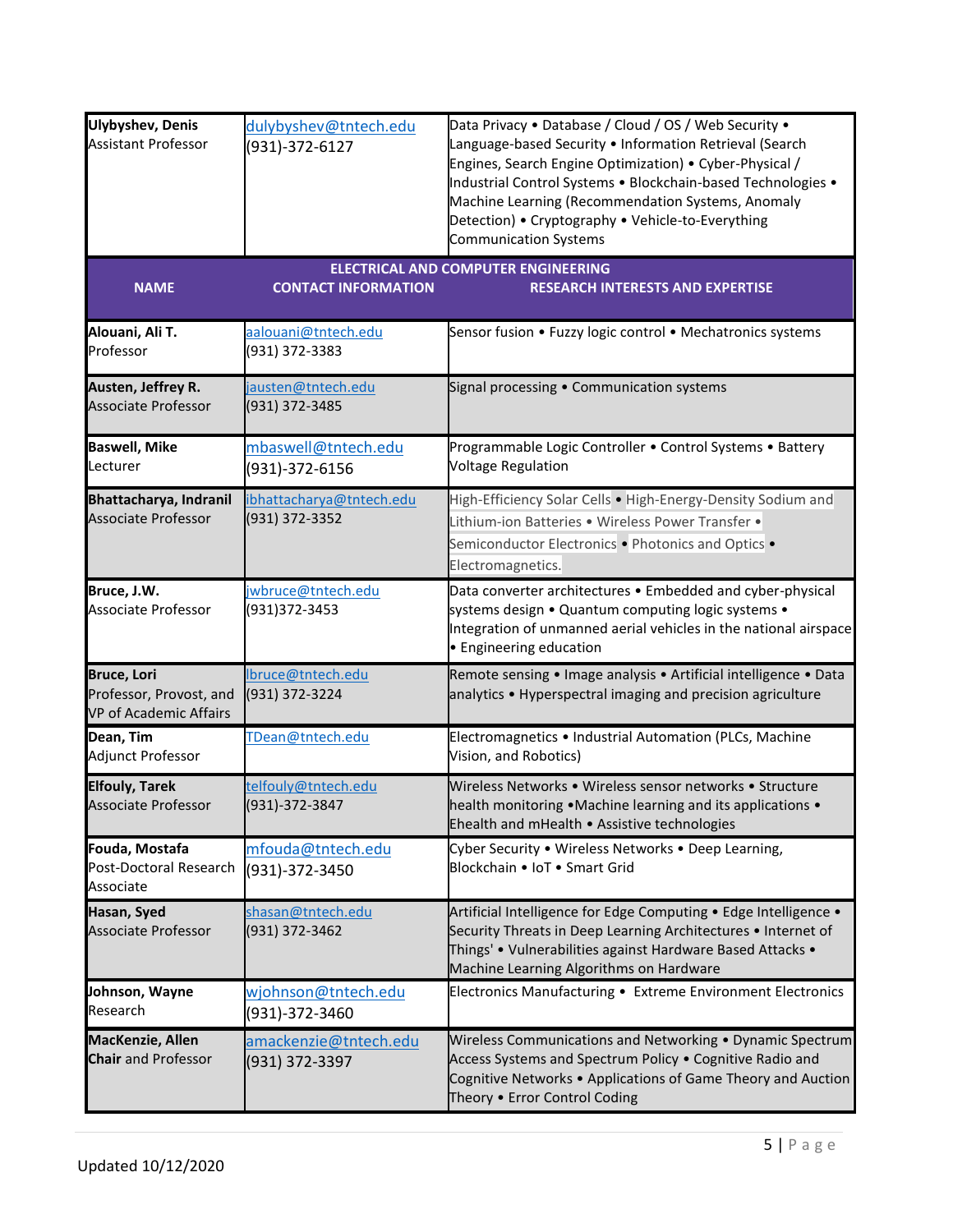| <b>Ulybyshev, Denis</b><br><b>Assistant Professor</b>                          | dulybyshev@tntech.edu<br>(931)-372-6127    | Data Privacy . Database / Cloud / OS / Web Security .<br>Language-based Security . Information Retrieval (Search<br>Engines, Search Engine Optimization) • Cyber-Physical /<br>Industrial Control Systems . Blockchain-based Technologies .<br>Machine Learning (Recommendation Systems, Anomaly<br>Detection) • Cryptography • Vehicle-to-Everything |
|--------------------------------------------------------------------------------|--------------------------------------------|-------------------------------------------------------------------------------------------------------------------------------------------------------------------------------------------------------------------------------------------------------------------------------------------------------------------------------------------------------|
|                                                                                |                                            | <b>Communication Systems</b><br><b>ELECTRICAL AND COMPUTER ENGINEERING</b>                                                                                                                                                                                                                                                                            |
| <b>NAME</b>                                                                    | <b>CONTACT INFORMATION</b>                 | <b>RESEARCH INTERESTS AND EXPERTISE</b>                                                                                                                                                                                                                                                                                                               |
| Alouani, Ali T.<br>Professor                                                   | aalouani@tntech.edu<br>(931) 372-3383      | Sensor fusion • Fuzzy logic control • Mechatronics systems                                                                                                                                                                                                                                                                                            |
| Austen, Jeffrey R.<br><b>Associate Professor</b>                               | jausten@tntech.edu<br>(931) 372-3485       | Signal processing . Communication systems                                                                                                                                                                                                                                                                                                             |
| <b>Baswell, Mike</b><br>Lecturer                                               | mbaswell@tntech.edu<br>(931)-372-6156      | Programmable Logic Controller . Control Systems . Battery<br><b>Voltage Regulation</b>                                                                                                                                                                                                                                                                |
| Bhattacharya, Indranil<br><b>Associate Professor</b>                           | ibhattacharya@tntech.edu<br>(931) 372-3352 | High-Efficiency Solar Cells . High-Energy-Density Sodium and<br>Lithium-ion Batteries . Wireless Power Transfer .<br>Semiconductor Electronics . Photonics and Optics .<br>Electromagnetics.                                                                                                                                                          |
| Bruce, J.W.<br>Associate Professor                                             | <u>iwbruce@tntech.edu</u><br>(931)372-3453 | Data converter architectures . Embedded and cyber-physical<br>systems design . Quantum computing logic systems .<br>Integration of unmanned aerial vehicles in the national airspace<br>• Engineering education                                                                                                                                       |
| <b>Bruce, Lori</b><br>Professor, Provost, and<br><b>VP of Academic Affairs</b> | lbruce@tntech.edu<br>(931) 372-3224        | Remote sensing • Image analysis • Artificial intelligence • Data<br>analytics • Hyperspectral imaging and precision agriculture                                                                                                                                                                                                                       |
| Dean, Tim<br>Adjunct Professor                                                 | TDean@tntech.edu                           | Electromagnetics . Industrial Automation (PLCs, Machine<br>Vision, and Robotics)                                                                                                                                                                                                                                                                      |
| <b>Elfouly, Tarek</b><br><b>Associate Professor</b>                            | telfouly@tntech.edu<br>(931)-372-3847      | Wireless Networks • Wireless sensor networks • Structure<br>health monitoring • Machine learning and its applications •<br>Ehealth and mHealth . Assistive technologies                                                                                                                                                                               |
| Fouda, Mostafa<br>Post-Doctoral Research<br>Associate                          | mfouda@tntech.edu<br>(931)-372-3450        | Cyber Security . Wireless Networks . Deep Learning,<br>Blockchain . IoT . Smart Grid                                                                                                                                                                                                                                                                  |
| Hasan, Syed<br><b>Associate Professor</b>                                      | shasan@tntech.edu<br>(931) 372-3462        | Artificial Intelligence for Edge Computing . Edge Intelligence .<br>Security Threats in Deep Learning Architectures . Internet of<br>Things' • Vulnerabilities against Hardware Based Attacks •<br>Machine Learning Algorithms on Hardware                                                                                                            |
| Johnson, Wayne<br>Research                                                     | wjohnson@tntech.edu<br>(931)-372-3460      | Electronics Manufacturing · Extreme Environment Electronics                                                                                                                                                                                                                                                                                           |
| MacKenzie, Allen<br><b>Chair</b> and Professor                                 | amackenzie@tntech.edu<br>(931) 372-3397    | Wireless Communications and Networking . Dynamic Spectrum<br>Access Systems and Spectrum Policy . Cognitive Radio and<br>Cognitive Networks . Applications of Game Theory and Auction<br>Theory . Error Control Coding                                                                                                                                |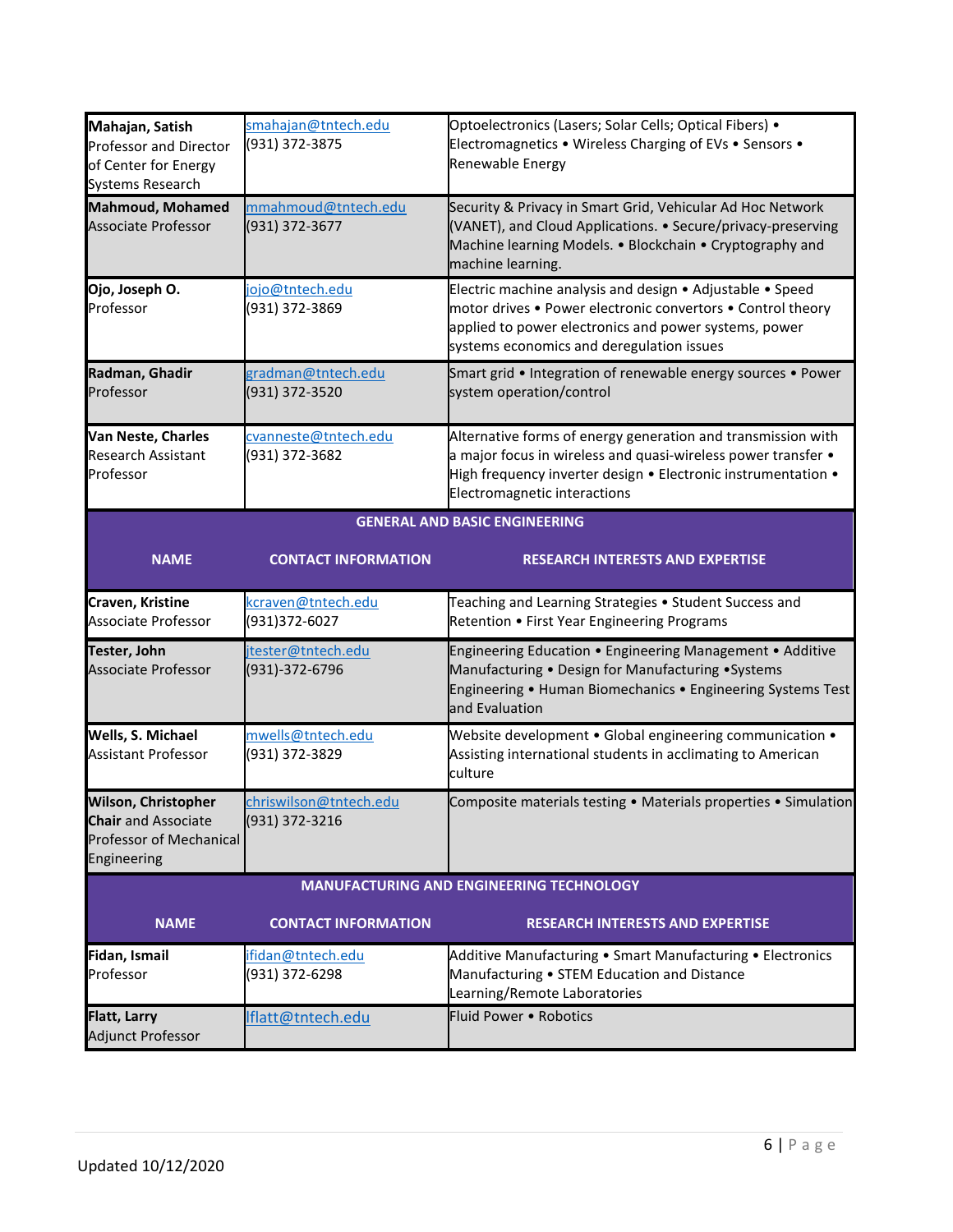| Mahajan, Satish<br><b>Professor and Director</b><br>of Center for Energy<br>Systems Research              | smahajan@tntech.edu<br>(931) 372-3875    | Optoelectronics (Lasers; Solar Cells; Optical Fibers) .<br>Electromagnetics . Wireless Charging of EVs . Sensors .<br>Renewable Energy                                                                                         |  |
|-----------------------------------------------------------------------------------------------------------|------------------------------------------|--------------------------------------------------------------------------------------------------------------------------------------------------------------------------------------------------------------------------------|--|
| <b>Mahmoud, Mohamed</b><br><b>Associate Professor</b>                                                     | mmahmoud@tntech.edu<br>(931) 372-3677    | Security & Privacy in Smart Grid, Vehicular Ad Hoc Network<br>(VANET), and Cloud Applications. • Secure/privacy-preserving<br>Machine learning Models. . Blockchain . Cryptography and<br>machine learning.                    |  |
| Ojo, Joseph O.<br>Professor                                                                               | ojo@tntech.edu<br>(931) 372-3869         | Electric machine analysis and design • Adjustable • Speed<br>motor drives . Power electronic convertors . Control theory<br>applied to power electronics and power systems, power<br>systems economics and deregulation issues |  |
| Radman, Ghadir<br>Professor                                                                               | gradman@tntech.edu<br>(931) 372-3520     | Smart grid • Integration of renewable energy sources • Power<br>system operation/control                                                                                                                                       |  |
| Van Neste, Charles<br><b>Research Assistant</b><br>Professor                                              | cvanneste@tntech.edu<br>(931) 372-3682   | Alternative forms of energy generation and transmission with<br>a major focus in wireless and quasi-wireless power transfer •<br>High frequency inverter design . Electronic instrumentation .<br>Electromagnetic interactions |  |
|                                                                                                           | <b>GENERAL AND BASIC ENGINEERING</b>     |                                                                                                                                                                                                                                |  |
| <b>NAME</b>                                                                                               | <b>CONTACT INFORMATION</b>               | <b>RESEARCH INTERESTS AND EXPERTISE</b>                                                                                                                                                                                        |  |
| Craven, Kristine<br>Associate Professor                                                                   | kcraven@tntech.edu<br>(931)372-6027      | Teaching and Learning Strategies . Student Success and<br>Retention • First Year Engineering Programs                                                                                                                          |  |
| Tester, John<br><b>Associate Professor</b>                                                                | itester@tntech.edu<br>(931)-372-6796     | Engineering Education . Engineering Management . Additive<br>Manufacturing . Design for Manufacturing . Systems<br>Engineering • Human Biomechanics • Engineering Systems Test<br>and Evaluation                               |  |
| Wells, S. Michael<br><b>Assistant Professor</b>                                                           | mwells@tntech.edu<br>(931) 372-3829      | Website development . Global engineering communication .<br>Assisting international students in acclimating to American<br>culture                                                                                             |  |
| <b>Wilson, Christopher</b><br><b>Chair</b> and Associate<br><b>Professor of Mechanical</b><br>Engineering | chriswilson@tntech.edu<br>(931) 372-3216 | Composite materials testing . Materials properties . Simulation                                                                                                                                                                |  |
|                                                                                                           |                                          | <b>MANUFACTURING AND ENGINEERING TECHNOLOGY</b>                                                                                                                                                                                |  |
| <b>NAME</b>                                                                                               | <b>CONTACT INFORMATION</b>               | <b>RESEARCH INTERESTS AND EXPERTISE</b>                                                                                                                                                                                        |  |
| Fidan, Ismail<br>Professor                                                                                | ifidan@tntech.edu<br>(931) 372-6298      | Additive Manufacturing • Smart Manufacturing • Electronics<br>Manufacturing . STEM Education and Distance<br>Learning/Remote Laboratories                                                                                      |  |
| <b>Flatt, Larry</b><br>Adjunct Professor                                                                  | Iflatt@tntech.edu                        | Fluid Power . Robotics                                                                                                                                                                                                         |  |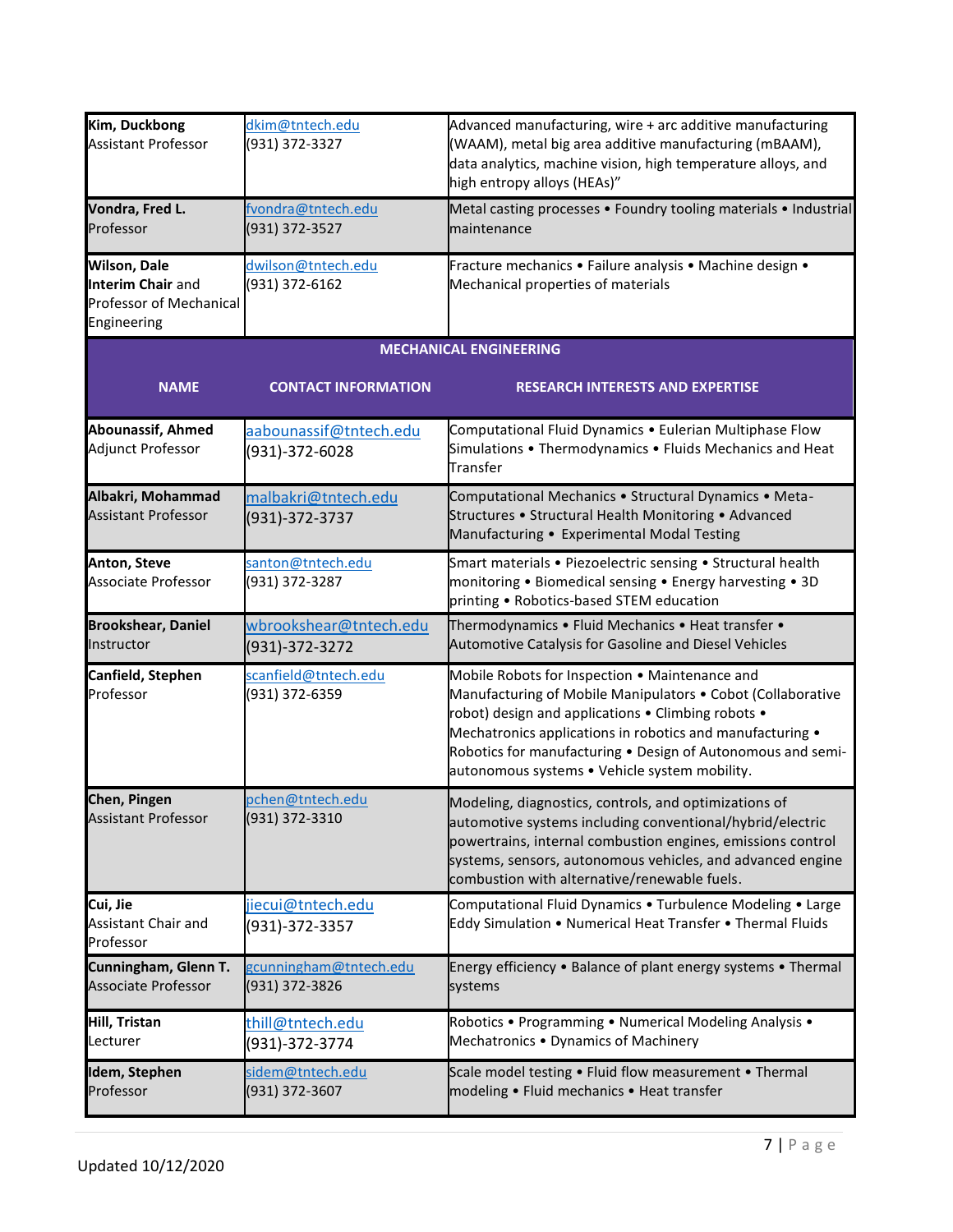| Kim, Duckbong<br><b>Assistant Professor</b>                                               | dkim@tntech.edu<br>(931) 372-3327        | Advanced manufacturing, wire + arc additive manufacturing<br>(WAAM), metal big area additive manufacturing (mBAAM),<br>data analytics, machine vision, high temperature alloys, and<br>high entropy alloys (HEAs)"                                                                                                                               |
|-------------------------------------------------------------------------------------------|------------------------------------------|--------------------------------------------------------------------------------------------------------------------------------------------------------------------------------------------------------------------------------------------------------------------------------------------------------------------------------------------------|
| Vondra, Fred L.<br>Professor                                                              | fvondra@tntech.edu<br>(931) 372-3527     | Metal casting processes . Foundry tooling materials . Industrial<br>maintenance                                                                                                                                                                                                                                                                  |
| <b>Wilson, Dale</b><br>Interim Chair and<br><b>Professor of Mechanical</b><br>Engineering | dwilson@tntech.edu<br>(931) 372-6162     | Fracture mechanics . Failure analysis . Machine design .<br>Mechanical properties of materials                                                                                                                                                                                                                                                   |
|                                                                                           |                                          | <b>MECHANICAL ENGINEERING</b>                                                                                                                                                                                                                                                                                                                    |
| <b>NAME</b>                                                                               | <b>CONTACT INFORMATION</b>               | <b>RESEARCH INTERESTS AND EXPERTISE</b>                                                                                                                                                                                                                                                                                                          |
| <b>Abounassif, Ahmed</b><br>Adjunct Professor                                             | aabounassif@tntech.edu<br>(931)-372-6028 | Computational Fluid Dynamics . Eulerian Multiphase Flow<br>Simulations . Thermodynamics . Fluids Mechanics and Heat<br>Transfer                                                                                                                                                                                                                  |
| Albakri, Mohammad<br><b>Assistant Professor</b>                                           | malbakri@tntech.edu<br>(931)-372-3737    | Computational Mechanics . Structural Dynamics . Meta-<br>Structures . Structural Health Monitoring . Advanced<br>Manufacturing • Experimental Modal Testing                                                                                                                                                                                      |
| <b>Anton, Steve</b><br>Associate Professor                                                | santon@tntech.edu<br>(931) 372-3287      | Smart materials . Piezoelectric sensing . Structural health<br>monitoring . Biomedical sensing . Energy harvesting . 3D<br>printing . Robotics-based STEM education                                                                                                                                                                              |
| <b>Brookshear, Daniel</b><br>Instructor                                                   | wbrookshear@tntech.edu<br>(931)-372-3272 | Thermodynamics . Fluid Mechanics . Heat transfer .<br>Automotive Catalysis for Gasoline and Diesel Vehicles                                                                                                                                                                                                                                      |
| Canfield, Stephen<br>Professor                                                            | scanfield@tntech.edu<br>(931) 372-6359   | Mobile Robots for Inspection . Maintenance and<br>Manufacturing of Mobile Manipulators . Cobot (Collaborative<br>robot) design and applications . Climbing robots .<br>Mechatronics applications in robotics and manufacturing .<br>Robotics for manufacturing . Design of Autonomous and semi-<br>autonomous systems . Vehicle system mobility. |
| Chen, Pingen<br><b>Assistant Professor</b>                                                | pchen@tntech.edu<br>(931) 372-3310       | Modeling, diagnostics, controls, and optimizations of<br>automotive systems including conventional/hybrid/electric<br>powertrains, internal combustion engines, emissions control<br>systems, sensors, autonomous vehicles, and advanced engine<br>combustion with alternative/renewable fuels.                                                  |
| Cui, Jie<br>Assistant Chair and<br>Professor                                              | jiecui@tntech.edu<br>(931)-372-3357      | Computational Fluid Dynamics . Turbulence Modeling . Large<br>Eddy Simulation . Numerical Heat Transfer . Thermal Fluids                                                                                                                                                                                                                         |
| Cunningham, Glenn T.<br><b>Associate Professor</b>                                        | gcunningham@tntech.edu<br>(931) 372-3826 | Energy efficiency • Balance of plant energy systems • Thermal<br>systems                                                                                                                                                                                                                                                                         |
| Hill, Tristan<br>Lecturer                                                                 | thill@tntech.edu<br>(931)-372-3774       | Robotics • Programming • Numerical Modeling Analysis •<br>Mechatronics . Dynamics of Machinery                                                                                                                                                                                                                                                   |
| Idem, Stephen<br>Professor                                                                | sidem@tntech.edu<br>(931) 372-3607       | Scale model testing . Fluid flow measurement . Thermal<br>modeling . Fluid mechanics . Heat transfer                                                                                                                                                                                                                                             |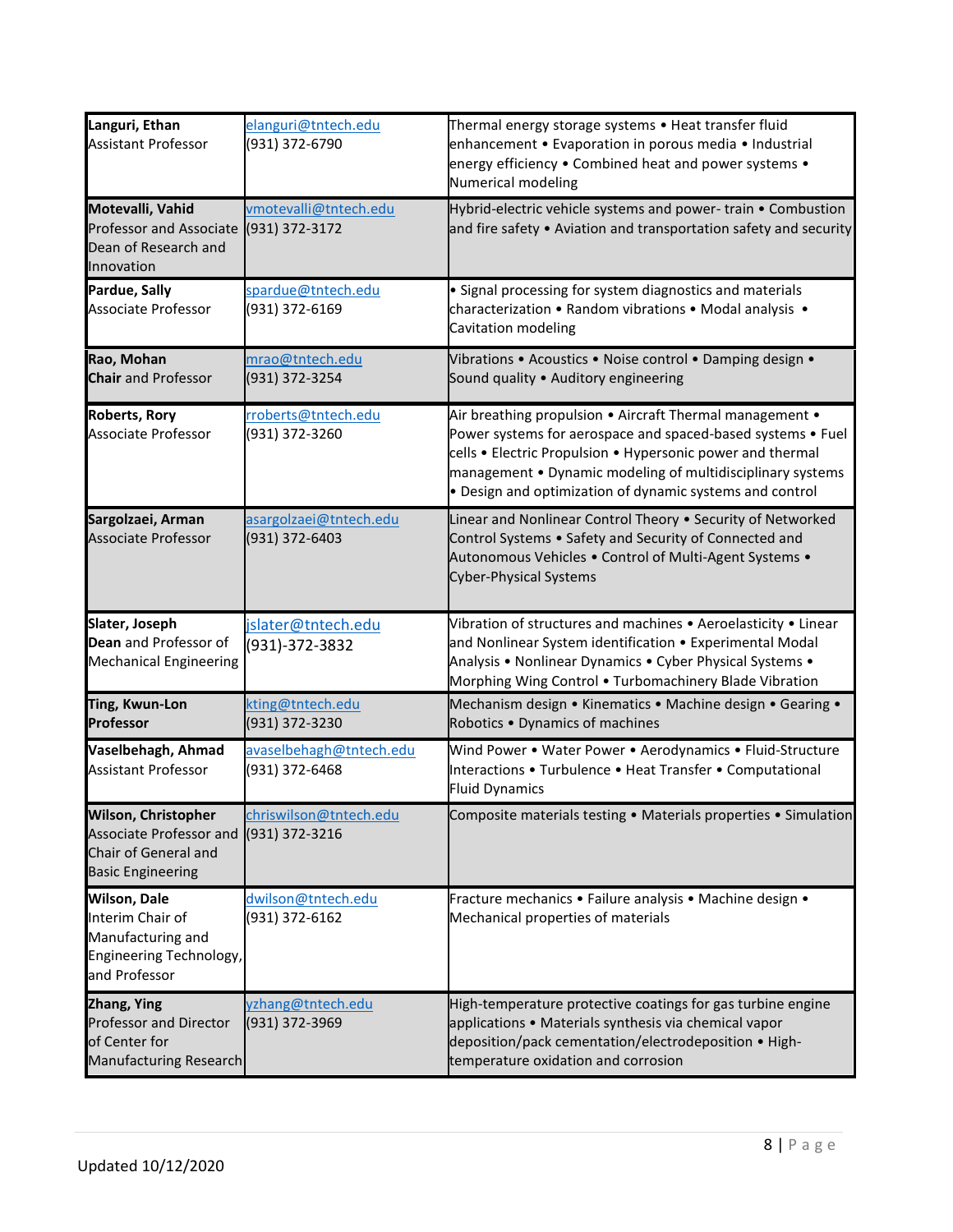| Languri, Ethan<br><b>Assistant Professor</b>                                                              | elanguri@tntech.edu<br>(931) 372-6790       | Thermal energy storage systems • Heat transfer fluid<br>enhancement • Evaporation in porous media • Industrial<br>energy efficiency . Combined heat and power systems .<br>Numerical modeling                                                                                                                   |
|-----------------------------------------------------------------------------------------------------------|---------------------------------------------|-----------------------------------------------------------------------------------------------------------------------------------------------------------------------------------------------------------------------------------------------------------------------------------------------------------------|
| Motevalli, Vahid<br>Professor and Associate (931) 372-3172<br>Dean of Research and<br>Innovation          | vmotevalli@tntech.edu                       | Hybrid-electric vehicle systems and power-train • Combustion<br>and fire safety • Aviation and transportation safety and security                                                                                                                                                                               |
| Pardue, Sally<br><b>Associate Professor</b>                                                               | spardue@tntech.edu<br>(931) 372-6169        | • Signal processing for system diagnostics and materials<br>characterization • Random vibrations • Modal analysis •<br>Cavitation modeling                                                                                                                                                                      |
| Rao, Mohan<br><b>Chair</b> and Professor                                                                  | mrao@tntech.edu<br>(931) 372-3254           | Vibrations . Acoustics . Noise control . Damping design .<br>Sound quality . Auditory engineering                                                                                                                                                                                                               |
| <b>Roberts, Rory</b><br><b>Associate Professor</b>                                                        | rroberts@tntech.edu<br>(931) 372-3260       | Air breathing propulsion . Aircraft Thermal management .<br>Power systems for aerospace and spaced-based systems • Fuel<br>cells • Electric Propulsion • Hypersonic power and thermal<br>management • Dynamic modeling of multidisciplinary systems<br>• Design and optimization of dynamic systems and control |
| Sargolzaei, Arman<br><b>Associate Professor</b>                                                           | asargolzaei@tntech.edu<br>(931) 372-6403    | Linear and Nonlinear Control Theory . Security of Networked<br>Control Systems . Safety and Security of Connected and<br>Autonomous Vehicles . Control of Multi-Agent Systems .<br><b>Cyber-Physical Systems</b>                                                                                                |
| Slater, Joseph<br>Dean and Professor of<br><b>Mechanical Engineering</b>                                  | jslater@tntech.edu<br>(931)-372-3832        | Vibration of structures and machines • Aeroelasticity • Linear<br>and Nonlinear System identification . Experimental Modal<br>Analysis • Nonlinear Dynamics • Cyber Physical Systems •<br>Morphing Wing Control . Turbomachinery Blade Vibration                                                                |
| <b>Ting, Kwun-Lon</b><br>Professor                                                                        | kting@tntech.edu<br>(931) 372-3230          | Mechanism design . Kinematics . Machine design . Gearing .<br>Robotics . Dynamics of machines                                                                                                                                                                                                                   |
| Vaselbehagh, Ahmad<br><b>Assistant Professor</b>                                                          | avaselbehagh@tntech.edu<br>(931) 372-6468   | Wind Power . Water Power . Aerodynamics . Fluid-Structure<br>Interactions • Turbulence • Heat Transfer • Computational<br><b>Fluid Dynamics</b>                                                                                                                                                                 |
| <b>Wilson, Christopher</b><br>Associate Professor and<br>Chair of General and<br><b>Basic Engineering</b> | chriswilson@tntech.edu<br>(931) 372-3216    | Composite materials testing . Materials properties . Simulation                                                                                                                                                                                                                                                 |
| <b>Wilson, Dale</b><br>Interim Chair of<br>Manufacturing and<br>Engineering Technology,<br>and Professor  | <u>dwilson@tntech.edu</u><br>(931) 372-6162 | Fracture mechanics . Failure analysis . Machine design .<br>Mechanical properties of materials                                                                                                                                                                                                                  |
| Zhang, Ying<br>Professor and Director<br>of Center for<br><b>Manufacturing Research</b>                   | yzhang@tntech.edu<br>(931) 372-3969         | High-temperature protective coatings for gas turbine engine<br>applications • Materials synthesis via chemical vapor<br>deposition/pack cementation/electrodeposition • High-<br>temperature oxidation and corrosion                                                                                            |